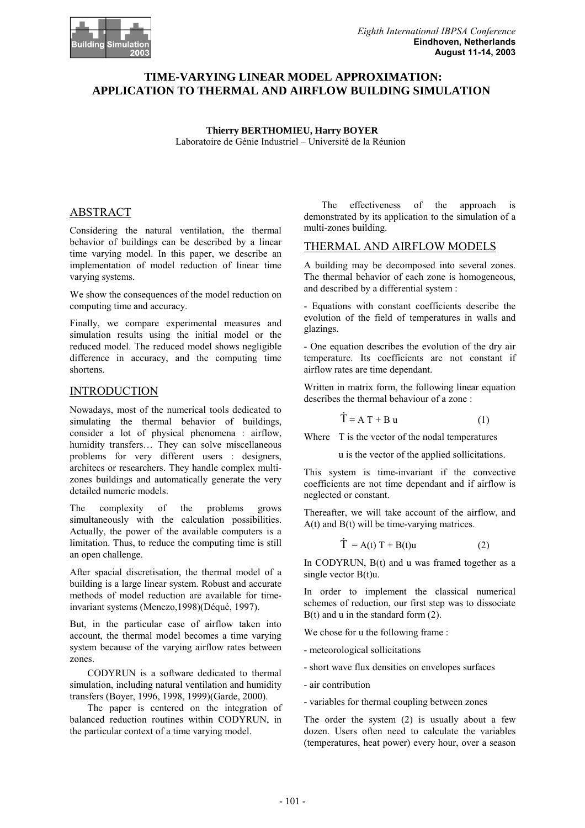## **TIME-VARYING LINEAR MODEL APPROXIMATION: APPLICATION TO THERMAL AND AIRFLOW BUILDING SIMULATION**

**Thierry BERTHOMIEU, Harry BOYER**  Laboratoire de Génie Industriel – Université de la Réunion

## ABSTRACT

Considering the natural ventilation, the thermal behavior of buildings can be described by a linear time varying model. In this paper, we describe an implementation of model reduction of linear time varying systems.

We show the consequences of the model reduction on computing time and accuracy.

Finally, we compare experimental measures and simulation results using the initial model or the reduced model. The reduced model shows negligible difference in accuracy, and the computing time shortens.

## INTRODUCTION

Nowadays, most of the numerical tools dedicated to simulating the thermal behavior of buildings, consider a lot of physical phenomena : airflow, humidity transfers… They can solve miscellaneous problems for very different users : designers, architecs or researchers. They handle complex multizones buildings and automatically generate the very detailed numeric models.

The complexity of the problems grows simultaneously with the calculation possibilities. Actually, the power of the available computers is a limitation. Thus, to reduce the computing time is still an open challenge.

After spacial discretisation, the thermal model of a building is a large linear system. Robust and accurate methods of model reduction are available for timeinvariant systems (Menezo,1998)(Déqué, 1997).

But, in the particular case of airflow taken into account, the thermal model becomes a time varying system because of the varying airflow rates between zones.

CODYRUN is a software dedicated to thermal simulation, including natural ventilation and humidity transfers (Boyer, 1996, 1998, 1999)(Garde, 2000).

The paper is centered on the integration of balanced reduction routines within CODYRUN, in the particular context of a time varying model.

The effectiveness of the approach is demonstrated by its application to the simulation of a multi-zones building.

## THERMAL AND AIRFLOW MODELS

A building may be decomposed into several zones. The thermal behavior of each zone is homogeneous, and described by a differential system :

- Equations with constant coefficients describe the evolution of the field of temperatures in walls and glazings.

- One equation describes the evolution of the dry air temperature. Its coefficients are not constant if airflow rates are time dependant.

Written in matrix form, the following linear equation describes the thermal behaviour of a zone :

$$
\dot{T} = A T + B u \tag{1}
$$

Where T is the vector of the nodal temperatures

u is the vector of the applied sollicitations.

This system is time-invariant if the convective coefficients are not time dependant and if airflow is neglected or constant.

Thereafter, we will take account of the airflow, and A(t) and B(t) will be time-varying matrices.

$$
\dot{T} = A(t) T + B(t)u \tag{2}
$$

In CODYRUN, B(t) and u was framed together as a single vector  $B(t)u$ .

In order to implement the classical numerical schemes of reduction, our first step was to dissociate  $B(t)$  and u in the standard form  $(2)$ .

We chose for u the following frame :

- meteorological sollicitations
- short wave flux densities on envelopes surfaces
- air contribution
- variables for thermal coupling between zones

The order the system (2) is usually about a few dozen. Users often need to calculate the variables (temperatures, heat power) every hour, over a season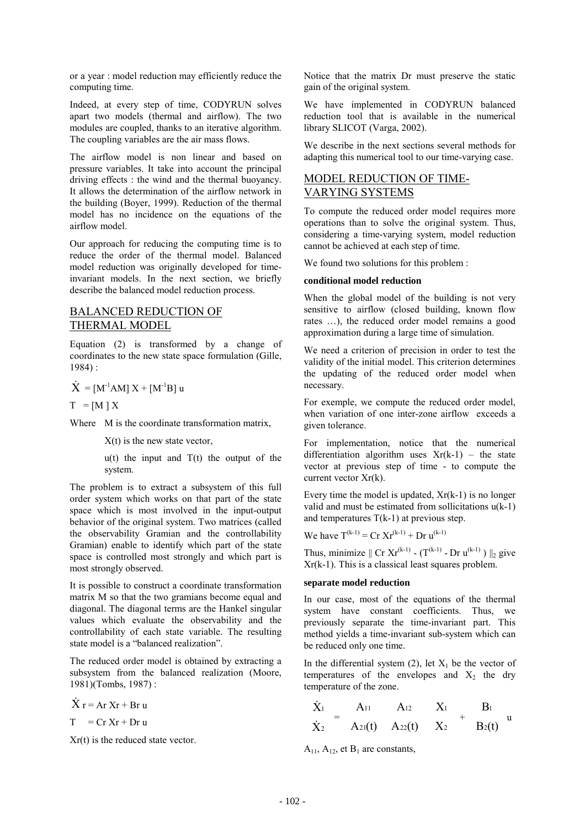or a year : model reduction may efficiently reduce the computing time.

Indeed, at every step of time, CODYRUN solves apart two models (thermal and airflow). The two modules are coupled, thanks to an iterative algorithm. The coupling variables are the air mass flows.

The airflow model is non linear and based on pressure variables. It take into account the principal driving effects : the wind and the thermal buoyancy. It allows the determination of the airflow network in the building (Boyer, 1999). Reduction of the thermal model has no incidence on the equations of the airflow model.

Our approach for reducing the computing time is to reduce the order of the thermal model. Balanced model reduction was originally developed for timeinvariant models. In the next section, we briefly describe the balanced model reduction process.

## BALANCED REDUCTION OF THERMAL MODEL

Equation (2) is transformed by a change of coordinates to the new state space formulation (Gille, 1984) :

$$
\dot{X} = [M^{\text{-}1}AM] X + [M^{\text{-}1}B] u
$$

 $T = [M] X$ 

Where M is the coordinate transformation matrix,

 $X(t)$  is the new state vector,

 $u(t)$  the input and  $T(t)$  the output of the system.

The problem is to extract a subsystem of this full order system which works on that part of the state space which is most involved in the input-output behavior of the original system. Two matrices (called the observability Gramian and the controllability Gramian) enable to identify which part of the state space is controlled most strongly and which part is most strongly observed.

It is possible to construct a coordinate transformation matrix M so that the two gramians become equal and diagonal. The diagonal terms are the Hankel singular values which evaluate the observability and the controllability of each state variable. The resulting state model is a "balanced realization".

The reduced order model is obtained by extracting a subsystem from the balanced realization (Moore, 1981)(Tombs, 1987) :

 $\dot{X}$  r = Ar Xr + Br u

 $T = Cr Xr + Dr u$ 

Xr(t) is the reduced state vector.

Notice that the matrix Dr must preserve the static gain of the original system.

We have implemented in CODYRUN balanced reduction tool that is available in the numerical library SLICOT (Varga, 2002).

We describe in the next sections several methods for adapting this numerical tool to our time-varying case.

# MODEL REDUCTION OF TIME-VARYING SYSTEMS

To compute the reduced order model requires more operations than to solve the original system. Thus, considering a time-varying system, model reduction cannot be achieved at each step of time.

We found two solutions for this problem :

#### **conditional model reduction**

When the global model of the building is not very sensitive to airflow (closed building, known flow rates …), the reduced order model remains a good approximation during a large time of simulation.

We need a criterion of precision in order to test the validity of the initial model. This criterion determines the updating of the reduced order model when necessary.

For exemple, we compute the reduced order model, when variation of one inter-zone airflow exceeds a given tolerance.

For implementation, notice that the numerical differentiation algorithm uses  $Xr(k-1)$  – the state vector at previous step of time - to compute the current vector Xr(k).

Every time the model is updated,  $Xr(k-1)$  is no longer valid and must be estimated from sollicitations  $u(k-1)$ and temperatures  $T(k-1)$  at previous step.

We have  $T^{(k-1)} = Cr Xr^{(k-1)} + Dr u^{(k-1)}$ 

Thus, minimize  $||$  Cr Xr<sup>(k-1)</sup> - (T<sup>(k-1)</sup> - Dr u<sup>(k-1)</sup>)  $||_2$  give Xr(k-1). This is a classical least squares problem.

#### **separate model reduction**

In our case, most of the equations of the thermal system have constant coefficients. Thus, we previously separate the time-invariant part. This method yields a time-invariant sub-system which can be reduced only one time.

In the differential system (2), let  $X_1$  be the vector of temperatures of the envelopes and  $X_2$  the dry temperature of the zone.

$$
\begin{bmatrix} \dot{X}_1 \\ \dot{X}_2 \end{bmatrix} = \begin{bmatrix} A_{11} & A_{12} \\ A_{21}(t) & A_{22}(t) \end{bmatrix} \begin{bmatrix} X_1 \\ X_2 \end{bmatrix} + \begin{bmatrix} B_1 \\ B_2(t) \end{bmatrix} u
$$

 $A_{11}$ ,  $A_{12}$ , et  $B_1$  are constants,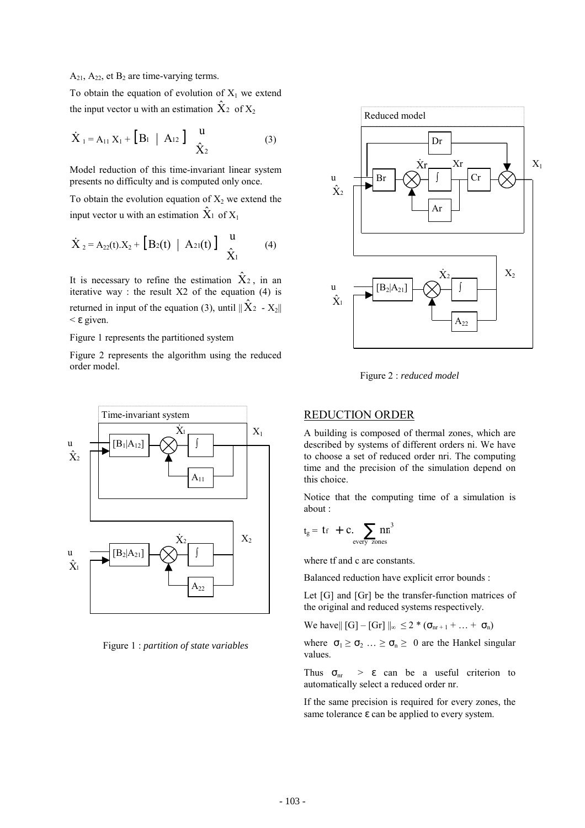#### $A_{21}$ ,  $A_{22}$ , et  $B_2$  are time-varying terms.

To obtain the equation of evolution of  $X_1$  we extend the input vector u with an estimation  $\hat{X}_2$  of  $X_2$ 

$$
\dot{\mathbf{X}}_1 = \mathbf{A}_{11} \mathbf{X}_1 + \begin{bmatrix} \mathbf{B}_1 & \mathbf{A}_{12} \end{bmatrix} \begin{pmatrix} \mathbf{u} \\ \hat{\mathbf{X}}_2 \end{pmatrix} \tag{3}
$$

Model reduction of this time-invariant linear system presents no difficulty and is computed only once.

To obtain the evolution equation of  $X_2$  we extend the input vector u with an estimation  $\hat{X}_1$  of  $X_1$ 

$$
\dot{X}_2 = A_{22}(t).X_2 + [B_2(t) | A_{21}(t)] \begin{pmatrix} u \\ \hat{X}_1 \end{pmatrix}
$$
 (4)

It is necessary to refine the estimation  $\hat{X}_2$ , in an iterative way : the result  $X2$  of the equation (4) is returned in input of the equation (3), until  $\|\hat{X}_2 - X_2\|$ < ε given.

#### Figure 1 represents the partitioned system

Figure 2 represents the algorithm using the reduced order model.



Figure 1 : *partition of state variables* 



Figure 2 : *reduced model* 

## REDUCTION ORDER

A building is composed of thermal zones, which are described by systems of different orders ni. We have to choose a set of reduced order nri. The computing time and the precision of the simulation depend on this choice.

Notice that the computing time of a simulation is about :

$$
t_g = t_f + c \sum_{\text{every zones}} n r^3
$$

where tf and c are constants.

Balanced reduction have explicit error bounds :

Let [G] and [Gr] be the transfer-function matrices of the original and reduced systems respectively.

We have||  $[G] - [Gr] \|_{\infty} \leq 2 * (\sigma_{nr+1} + ... + \sigma_n)$ 

where  $\sigma_1 \ge \sigma_2 \dots \ge \sigma_n \ge 0$  are the Hankel singular values.

Thus  $\sigma_{nr}$  >  $\varepsilon$  can be a useful criterion to automatically select a reduced order nr.

If the same precision is required for every zones, the same tolerance ε can be applied to every system.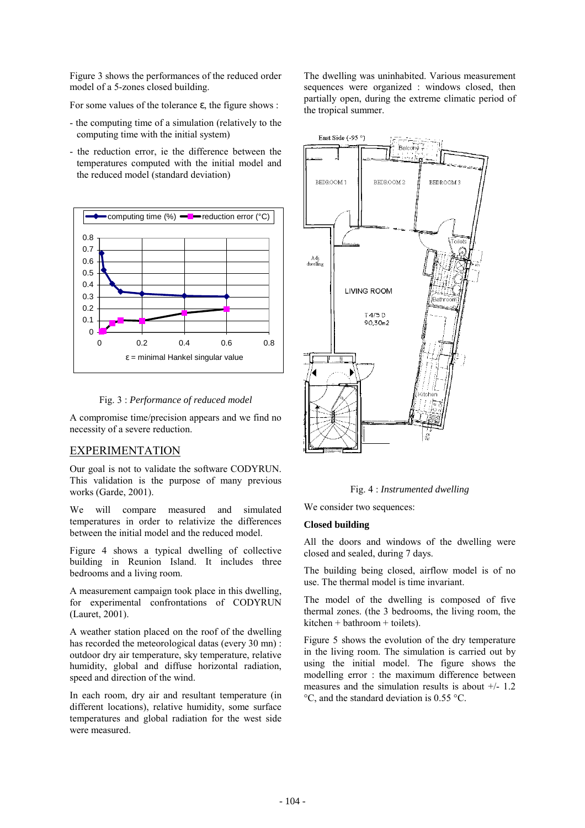Figure 3 shows the performances of the reduced order model of a 5-zones closed building.

For some values of the tolerance ε, the figure shows :

- the computing time of a simulation (relatively to the computing time with the initial system)
- the reduction error, ie the difference between the temperatures computed with the initial model and the reduced model (standard deviation)



Fig. 3 : *Performance of reduced model*

A compromise time/precision appears and we find no necessity of a severe reduction.

## EXPERIMENTATION

Our goal is not to validate the software CODYRUN. This validation is the purpose of many previous works (Garde, 2001).

We will compare measured and simulated temperatures in order to relativize the differences between the initial model and the reduced model.

Figure 4 shows a typical dwelling of collective building in Reunion Island. It includes three bedrooms and a living room.

A measurement campaign took place in this dwelling, for experimental confrontations of CODYRUN (Lauret, 2001).

A weather station placed on the roof of the dwelling has recorded the meteorological datas (every 30 mn) : outdoor dry air temperature, sky temperature, relative humidity, global and diffuse horizontal radiation, speed and direction of the wind.

In each room, dry air and resultant temperature (in different locations), relative humidity, some surface temperatures and global radiation for the west side were measured.

The dwelling was uninhabited. Various measurement sequences were organized : windows closed, then partially open, during the extreme climatic period of the tropical summer.



Fig. 4 : *Instrumented dwelling*

We consider two sequences:

#### **Closed building**

All the doors and windows of the dwelling were closed and sealed, during 7 days.

The building being closed, airflow model is of no use. The thermal model is time invariant.

The model of the dwelling is composed of five thermal zones. (the 3 bedrooms, the living room, the kitchen + bathroom + toilets).

Figure 5 shows the evolution of the dry temperature in the living room. The simulation is carried out by using the initial model. The figure shows the modelling error : the maximum difference between measures and the simulation results is about  $+/- 1.2$ °C, and the standard deviation is 0.55 °C.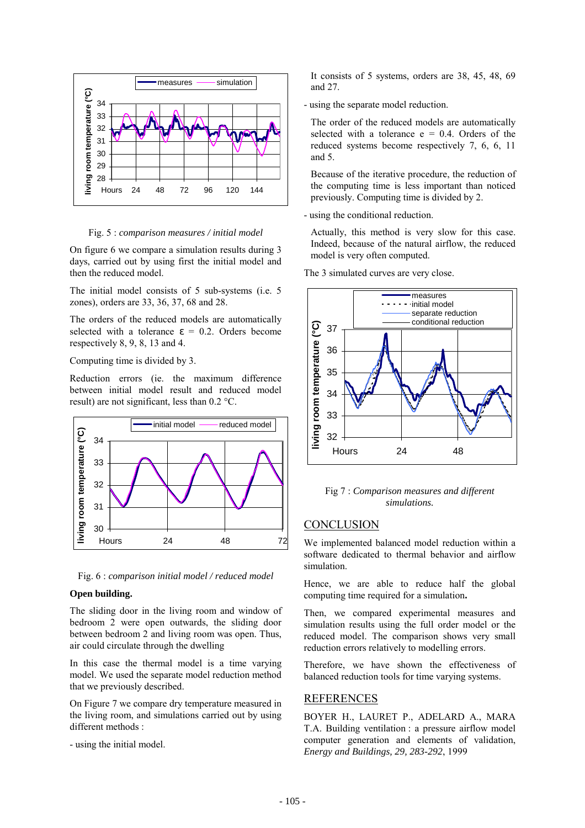

Fig. 5 : *comparison measures / initial model*

On figure 6 we compare a simulation results during 3 days, carried out by using first the initial model and then the reduced model.

The initial model consists of 5 sub-systems (i.e. 5 zones), orders are 33, 36, 37, 68 and 28.

The orders of the reduced models are automatically selected with a tolerance  $\varepsilon = 0.2$  Orders become respectively 8, 9, 8, 13 and 4.

Computing time is divided by 3.

Reduction errors (ie. the maximum difference between initial model result and reduced model result) are not significant, less than 0.2 °C.



Fig. 6 : *comparison initial model / reduced model*

#### **Open building.**

The sliding door in the living room and window of bedroom 2 were open outwards, the sliding door between bedroom 2 and living room was open. Thus, air could circulate through the dwelling

In this case the thermal model is a time varying model. We used the separate model reduction method that we previously described.

On Figure 7 we compare dry temperature measured in the living room, and simulations carried out by using different methods ·

- using the initial model.

It consists of 5 systems, orders are 38, 45, 48, 69 and 27.

- using the separate model reduction.

The order of the reduced models are automatically selected with a tolerance  $e = 0.4$ . Orders of the reduced systems become respectively 7, 6, 6, 11 and 5.

Because of the iterative procedure, the reduction of the computing time is less important than noticed previously. Computing time is divided by 2.

- using the conditional reduction.

Actually, this method is very slow for this case. Indeed, because of the natural airflow, the reduced model is very often computed.

The 3 simulated curves are very close.



Fig 7 : *Comparison measures and different simulations.* 

### **CONCLUSION**

We implemented balanced model reduction within a software dedicated to thermal behavior and airflow simulation.

Hence, we are able to reduce half the global computing time required for a simulation**.**

Then, we compared experimental measures and simulation results using the full order model or the reduced model. The comparison shows very small reduction errors relatively to modelling errors.

Therefore, we have shown the effectiveness of balanced reduction tools for time varying systems.

#### REFERENCES

BOYER H., LAURET P., ADELARD A., MARA T.A. Building ventilation : a pressure airflow model computer generation and elements of validation, *Energy and Buildings, 29, 283-292*, 1999